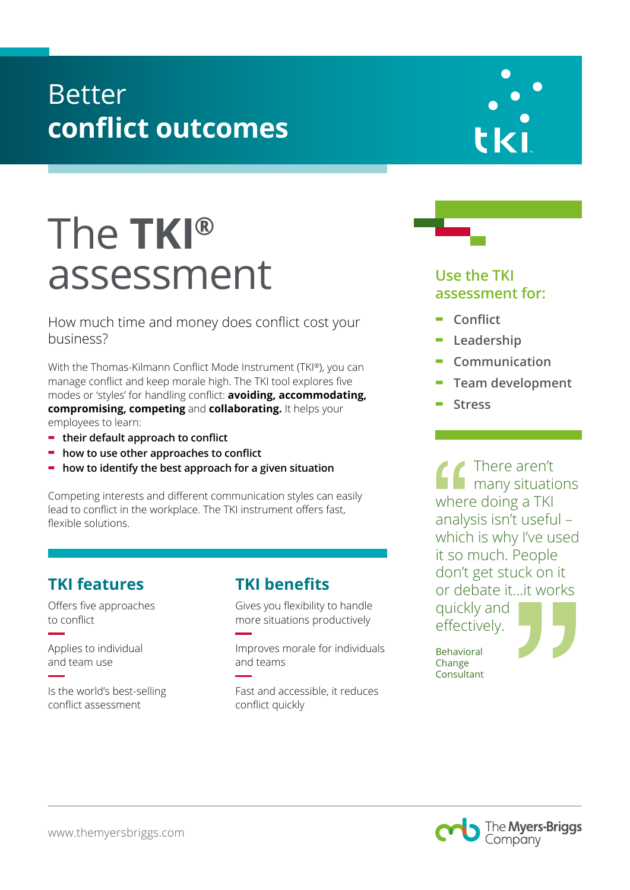# Better **conflict outcomes**

# The **TKI®** assessment

How much time and money does conflict cost your business?

With the Thomas-Kilmann Conflict Mode Instrument (TKI®), you can manage conflict and keep morale high. The TKI tool explores five modes or 'styles' for handling conflict: **avoiding, accommodating, compromising, competing** and **collaborating.** It helps your employees to learn:

- **- their default approach to conflict**
- **- how to use other approaches to conflict**
- **- how to identify the best approach for a given situation**

Competing interests and different communication styles can easily lead to conflict in the workplace. The TKI instrument offers fast, flexible solutions.

### **TKI features**

Offers five approaches to conflict

Applies to individual and team use

Is the world's best-selling conflict assessment

#### **TKI benefits**

Gives you flexibility to handle more situations productively

Improves morale for individuals and teams

Fast and accessible, it reduces conflict quickly





- **- Conflict**
- **- Leadership**
- **- Communication**
- **- Team development**
- **- Stress**

There aren't many situations where doing a TKI analysis isn't useful – which is why I've used it so much. People don't get stuck on it or debate it…it works quickly and effectively.

Behavioral Change Consultant